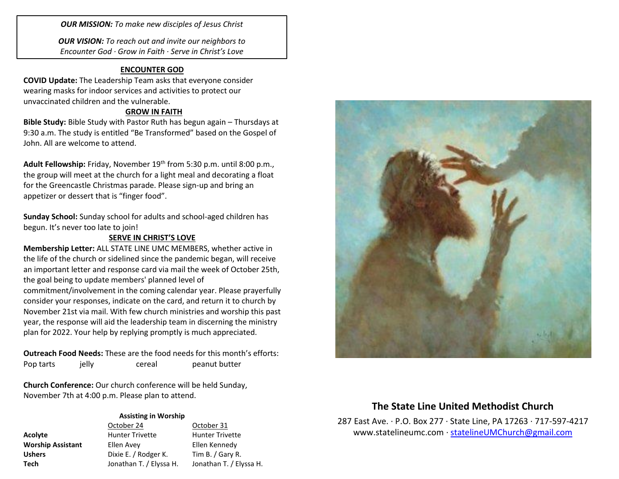*OUR MISSION: To make new disciples of Jesus Christ*

*OUR VISION: To reach out and invite our neighbors to Encounter God · Grow in Faith · Serve in Christ's Love*

## **ENCOUNTER GOD**

**COVID Update:** The Leadership Team asks that everyone consider wearing masks for indoor services and activities to protect our unvaccinated children and the vulnerable.

## **GROW IN FAITH**

**Bible Study:** Bible Study with Pastor Ruth has begun again – Thursdays at 9:30 a.m. The study is entitled "Be Transformed" based on the Gospel of John. All are welcome to attend.

Adult Fellowship: Friday, November 19<sup>th</sup> from 5:30 p.m. until 8:00 p.m., the group will meet at the church for a light meal and decorating a float for the Greencastle Christmas parade. Please sign-up and bring an appetizer or dessert that is "finger food".

**Sunday School:** Sunday school for adults and school-aged children has begun. It's never too late to join!

## **SERVE IN CHRIST'S LOVE**

**Membership Letter:** ALL STATE LINE UMC MEMBERS, whether active in the life of the church or sidelined since the pandemic began, will receive an important letter and response card via mail the week of October 25th, the goal being to update members' planned level of commitment/involvement in the coming calendar year. Please prayerfully consider your responses, indicate on the card, and return it to church by November 21st via mail. With few church ministries and worship this past year, the response will aid the leadership team in discerning the ministry plan for 2022. Your help by replying promptly is much appreciated.

**Outreach Food Needs:** These are the food needs for this month's efforts: Pop tarts ielly cereal peanut butter

**Church Conference:** Our church conference will be held Sunday, November 7th at 4:00 p.m. Please plan to attend.

#### **Assisting in Worship**

|                          | October 24              | October 31              |
|--------------------------|-------------------------|-------------------------|
| Acolyte                  | <b>Hunter Trivette</b>  | <b>Hunter Trivette</b>  |
| <b>Worship Assistant</b> | Ellen Avey              | Ellen Kennedy           |
| <b>Ushers</b>            | Dixie E. / Rodger K.    | Tim B. / Gary R.        |
| <b>Tech</b>              | Jonathan T. / Elyssa H. | Jonathan T. / Elyssa H. |



# **The State Line United Methodist Church**

287 East Ave. · P.O. Box 277 · State Line, PA 17263 · 717-597-4217 [www.statelineumc.com](http://www.statelineumc.com/) · [statelineUMChurch@gmail.com](mailto:statelineUMChurch@gmail.com)